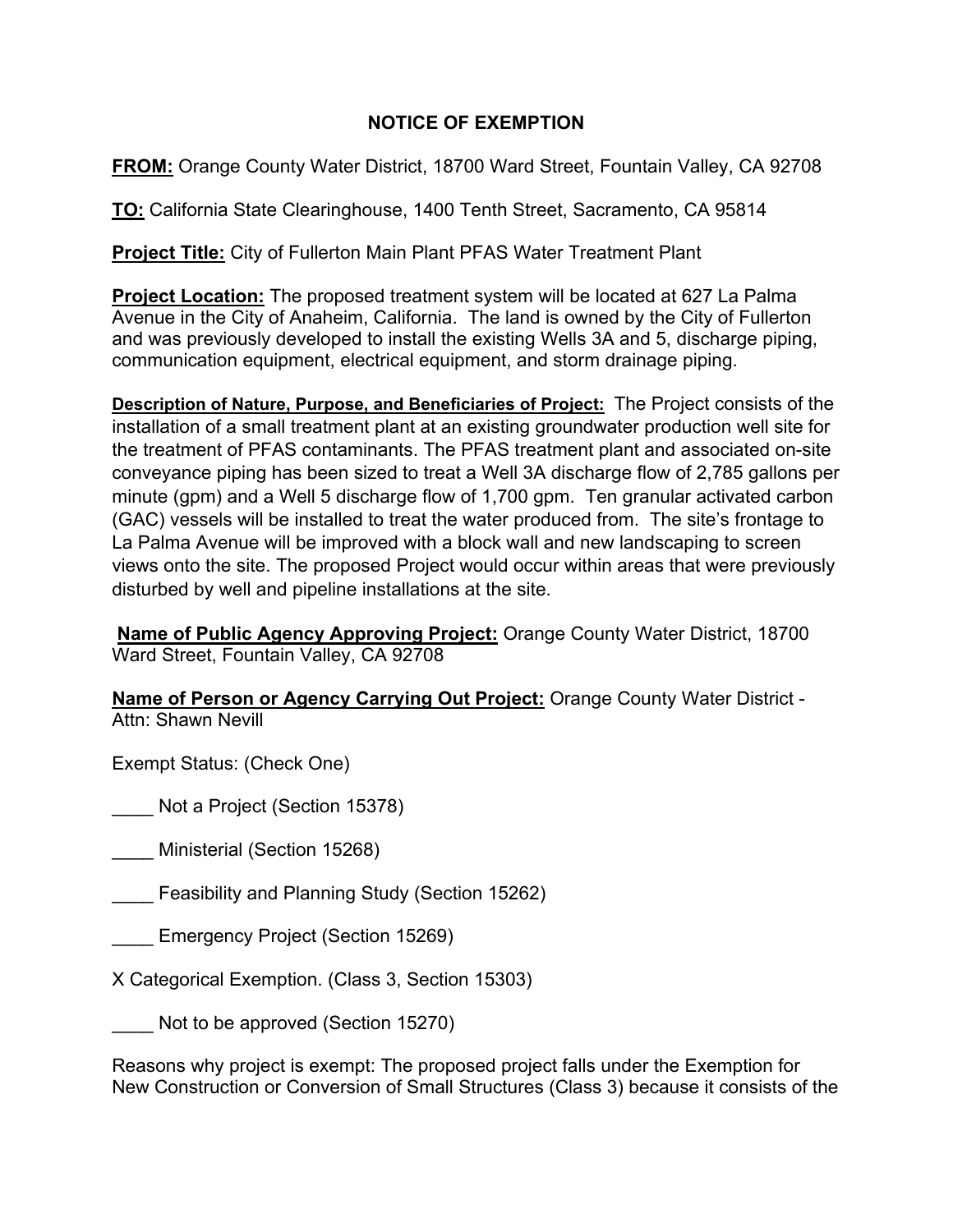## **NOTICE OF EXEMPTION**

**FROM:** Orange County Water District, 18700 Ward Street, Fountain Valley, CA 92708

**TO:** California State Clearinghouse, 1400 Tenth Street, Sacramento, CA 95814

**Project Title:** City of Fullerton Main Plant PFAS Water Treatment Plant

**Project Location:** The proposed treatment system will be located at 627 La Palma Avenue in the City of Anaheim, California. The land is owned by the City of Fullerton and was previously developed to install the existing Wells 3A and 5, discharge piping, communication equipment, electrical equipment, and storm drainage piping.

**Description of Nature, Purpose, and Beneficiaries of Project:** The Project consists of the installation of a small treatment plant at an existing groundwater production well site for the treatment of PFAS contaminants. The PFAS treatment plant and associated on-site conveyance piping has been sized to treat a Well 3A discharge flow of 2,785 gallons per minute (gpm) and a Well 5 discharge flow of 1,700 gpm. Ten granular activated carbon (GAC) vessels will be installed to treat the water produced from. The site's frontage to La Palma Avenue will be improved with a block wall and new landscaping to screen views onto the site. The proposed Project would occur within areas that were previously disturbed by well and pipeline installations at the site.

**Name of Public Agency Approving Project:** Orange County Water District, 18700 Ward Street, Fountain Valley, CA 92708

**Name of Person or Agency Carrying Out Project:** Orange County Water District - Attn: Shawn Nevill

Exempt Status: (Check One)

\_\_\_\_ Not a Project (Section 15378)

\_\_\_\_ Ministerial (Section 15268)

Feasibility and Planning Study (Section 15262)

\_\_\_\_ Emergency Project (Section 15269)

X Categorical Exemption. (Class 3, Section 15303)

Not to be approved (Section 15270)

Reasons why project is exempt: The proposed project falls under the Exemption for New Construction or Conversion of Small Structures (Class 3) because it consists of the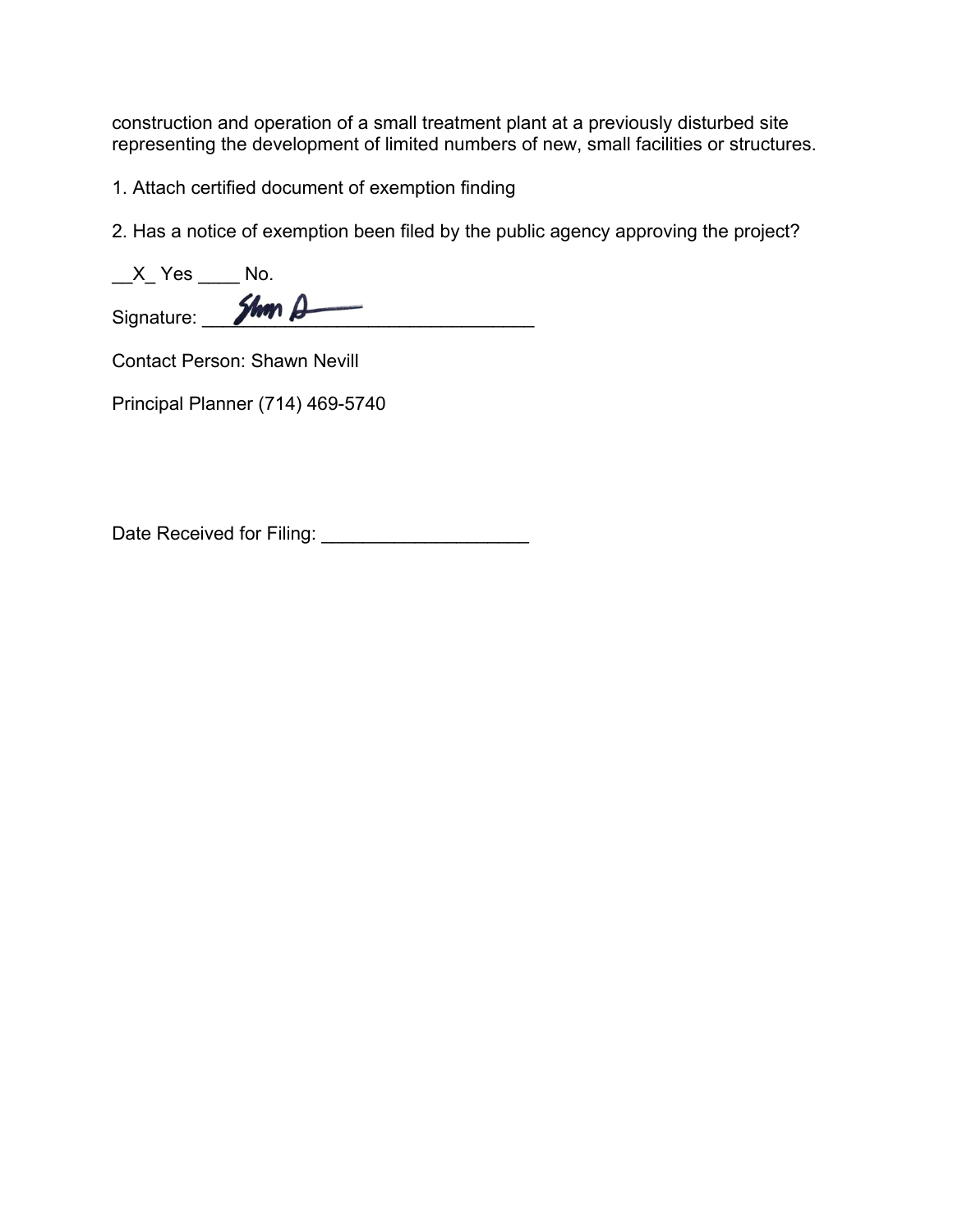construction and operation of a small treatment plant at a previously disturbed site representing the development of limited numbers of new, small facilities or structures.

1. Attach certified document of exemption finding

2. Has a notice of exemption been filed by the public agency approving the project?

| Yes        |              |
|------------|--------------|
| Signature: | Shop $\beta$ |

Contact Person: Shawn Nevill

Principal Planner (714) 469-5740

Date Received for Filing: \_\_\_\_\_\_\_\_\_\_\_\_\_\_\_\_\_\_\_\_